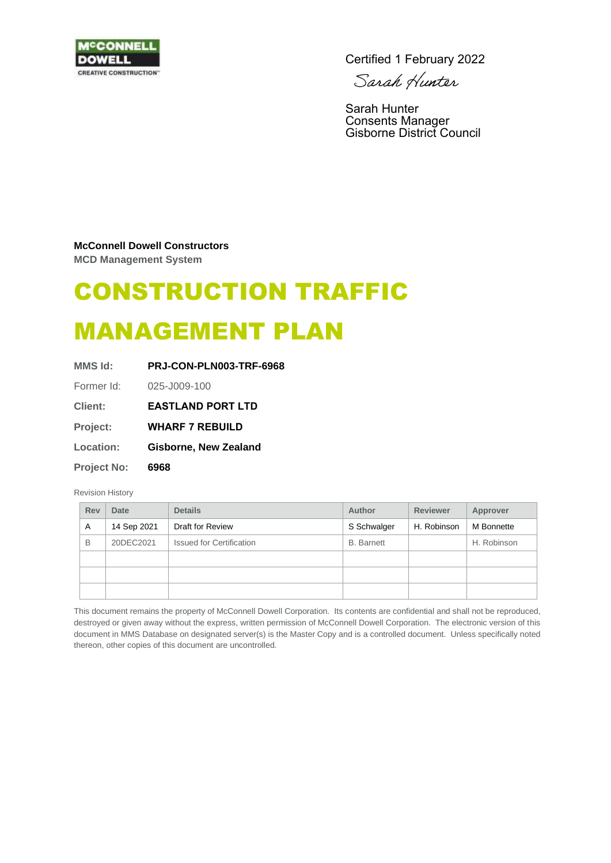

Certified 1 February 2022

Sarah Hunter

Sarah Hunter Consents Manager Gisborne District Council

#### **McConnell Dowell Constructors**

**MCD Management System**

# CONSTRUCTION TRAFFIC

# MANAGEMENT PLAN

| MMS Id:            | PRJ-CON-PLN003-TRF-6968      |  |  |
|--------------------|------------------------------|--|--|
| Former Id:         | 025-J009-100                 |  |  |
| <b>Client:</b>     | <b>EASTLAND PORT LTD</b>     |  |  |
| Project:           | <b>WHARF 7 REBUILD</b>       |  |  |
| <b>Location:</b>   | <b>Gisborne, New Zealand</b> |  |  |
| <b>Project No:</b> | 6968                         |  |  |
|                    |                              |  |  |

#### Revision History

| Rev | Date        | <b>Details</b>                  | Author            | <b>Reviewer</b> | Approver    |
|-----|-------------|---------------------------------|-------------------|-----------------|-------------|
| A   | 14 Sep 2021 | Draft for Review                | S Schwalger       | H. Robinson     | M Bonnette  |
| B   | 20DEC2021   | <b>Issued for Certification</b> | <b>B.</b> Barnett |                 | H. Robinson |
|     |             |                                 |                   |                 |             |
|     |             |                                 |                   |                 |             |
|     |             |                                 |                   |                 |             |

This document remains the property of McConnell Dowell Corporation. Its contents are confidential and shall not be reproduced, destroyed or given away without the express, written permission of McConnell Dowell Corporation. The electronic version of this document in MMS Database on designated server(s) is the Master Copy and is a controlled document. Unless specifically noted thereon, other copies of this document are uncontrolled.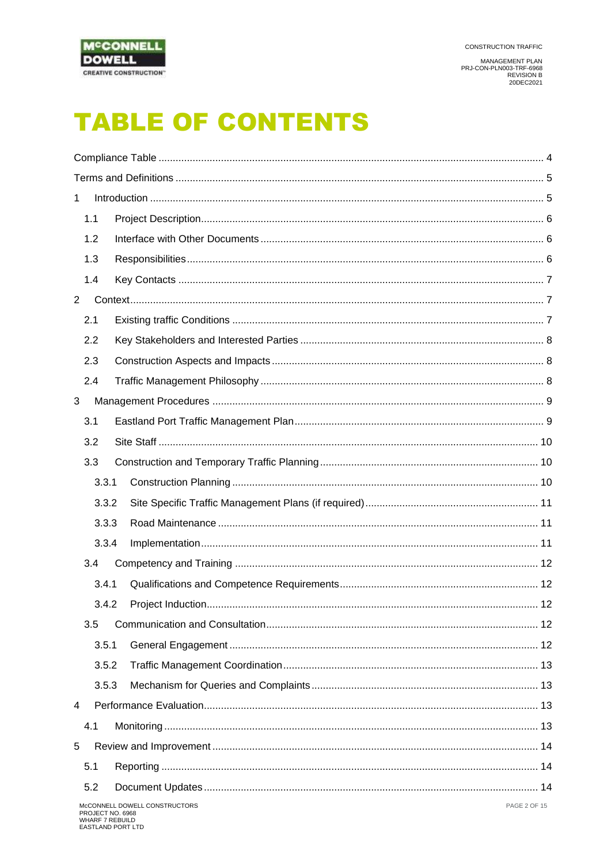

MANAGEMENT PLAN<br>PRJ-CON-PLN003-TRF-6968<br>REVISION B<br>20DEC2021

# **TABLE OF CONTENTS**

| 1           |                  |                                                      |  |
|-------------|------------------|------------------------------------------------------|--|
| 1.1         |                  |                                                      |  |
| 1.2         |                  |                                                      |  |
| 1.3         |                  |                                                      |  |
| 1.4         |                  |                                                      |  |
| $2^{\circ}$ |                  |                                                      |  |
| 2.1         |                  |                                                      |  |
| 2.2         |                  |                                                      |  |
| 2.3         |                  |                                                      |  |
| 2.4         |                  |                                                      |  |
| 3           |                  |                                                      |  |
| 3.1         |                  |                                                      |  |
| 3.2         |                  |                                                      |  |
| 3.3         |                  |                                                      |  |
|             | 3.3.1            |                                                      |  |
|             | 3.3.2            |                                                      |  |
|             | 3.3.3            |                                                      |  |
|             | 3.3.4            |                                                      |  |
| 3.4         |                  |                                                      |  |
|             | 3.4.1            |                                                      |  |
|             | 3.4.2            |                                                      |  |
| 3.5         |                  |                                                      |  |
|             | 3.5.1            |                                                      |  |
|             | 3.5.2            |                                                      |  |
|             | 3.5.3            |                                                      |  |
| 4           |                  |                                                      |  |
| 4.1         |                  |                                                      |  |
| 5           |                  |                                                      |  |
| 5.1         |                  |                                                      |  |
| 5.2         |                  |                                                      |  |
|             | PROJECT NO. 6968 | <b>PAGE 2 OF 15</b><br>McCONNELL DOWELL CONSTRUCTORS |  |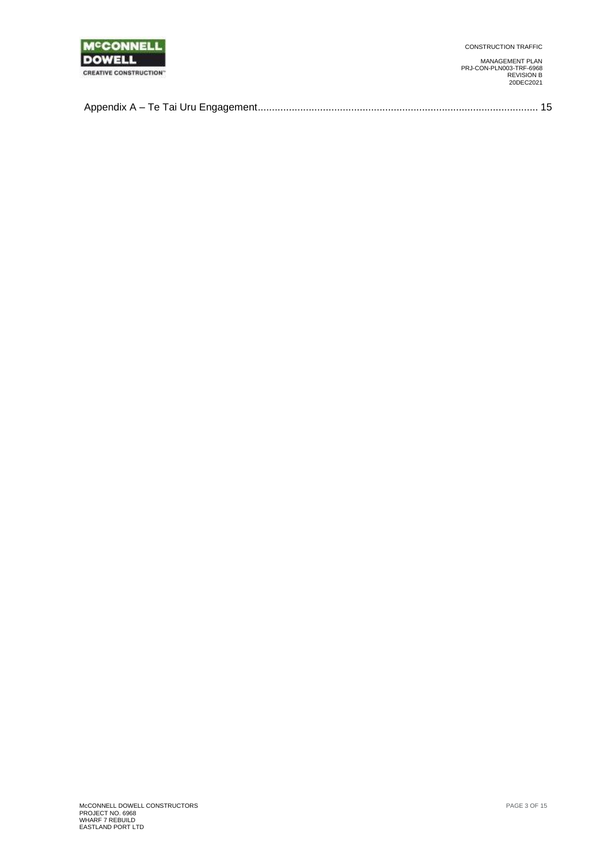

CONSTRUCTION TRAFFIC

MANAGEMENT PLAN PRJ-CON-PLN003-TRF-6968 REVISION B 20DEC2021

|--|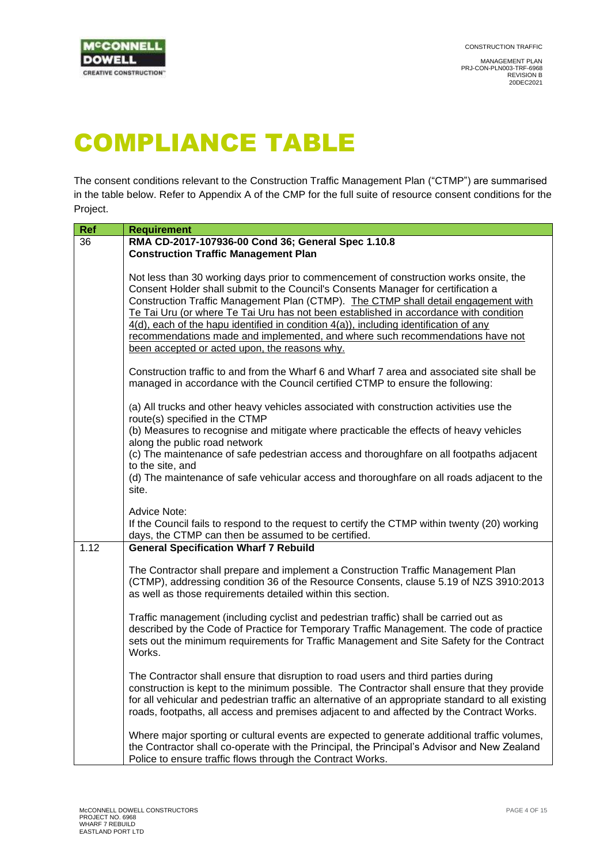

# <span id="page-3-0"></span>COMPLIANCE TABLE

The consent conditions relevant to the Construction Traffic Management Plan ("CTMP") are summarised in the table below. Refer to Appendix A of the CMP for the full suite of resource consent conditions for the Project.

| <b>Ref</b> | <b>Requirement</b>                                                                                                                                                                                                                                                                                                                                                                                                                                                                                                                                                                   |
|------------|--------------------------------------------------------------------------------------------------------------------------------------------------------------------------------------------------------------------------------------------------------------------------------------------------------------------------------------------------------------------------------------------------------------------------------------------------------------------------------------------------------------------------------------------------------------------------------------|
| 36         | RMA CD-2017-107936-00 Cond 36; General Spec 1.10.8                                                                                                                                                                                                                                                                                                                                                                                                                                                                                                                                   |
|            | <b>Construction Traffic Management Plan</b>                                                                                                                                                                                                                                                                                                                                                                                                                                                                                                                                          |
|            | Not less than 30 working days prior to commencement of construction works onsite, the<br>Consent Holder shall submit to the Council's Consents Manager for certification a<br>Construction Traffic Management Plan (CTMP). The CTMP shall detail engagement with<br>Te Tai Uru (or where Te Tai Uru has not been established in accordance with condition<br>4(d), each of the hapu identified in condition 4(a)), including identification of any<br>recommendations made and implemented, and where such recommendations have not<br>been accepted or acted upon, the reasons why. |
|            | Construction traffic to and from the Wharf 6 and Wharf 7 area and associated site shall be<br>managed in accordance with the Council certified CTMP to ensure the following:                                                                                                                                                                                                                                                                                                                                                                                                         |
|            | (a) All trucks and other heavy vehicles associated with construction activities use the<br>route(s) specified in the CTMP                                                                                                                                                                                                                                                                                                                                                                                                                                                            |
|            | (b) Measures to recognise and mitigate where practicable the effects of heavy vehicles<br>along the public road network<br>(c) The maintenance of safe pedestrian access and thoroughfare on all footpaths adjacent                                                                                                                                                                                                                                                                                                                                                                  |
|            | to the site, and                                                                                                                                                                                                                                                                                                                                                                                                                                                                                                                                                                     |
|            | (d) The maintenance of safe vehicular access and thoroughfare on all roads adjacent to the<br>site.                                                                                                                                                                                                                                                                                                                                                                                                                                                                                  |
|            | Advice Note:<br>If the Council fails to respond to the request to certify the CTMP within twenty (20) working<br>days, the CTMP can then be assumed to be certified.                                                                                                                                                                                                                                                                                                                                                                                                                 |
| 1.12       | <b>General Specification Wharf 7 Rebuild</b>                                                                                                                                                                                                                                                                                                                                                                                                                                                                                                                                         |
|            | The Contractor shall prepare and implement a Construction Traffic Management Plan<br>(CTMP), addressing condition 36 of the Resource Consents, clause 5.19 of NZS 3910:2013<br>as well as those requirements detailed within this section.                                                                                                                                                                                                                                                                                                                                           |
|            | Traffic management (including cyclist and pedestrian traffic) shall be carried out as<br>described by the Code of Practice for Temporary Traffic Management. The code of practice<br>sets out the minimum requirements for Traffic Management and Site Safety for the Contract<br>Works.                                                                                                                                                                                                                                                                                             |
|            | The Contractor shall ensure that disruption to road users and third parties during<br>construction is kept to the minimum possible. The Contractor shall ensure that they provide<br>for all vehicular and pedestrian traffic an alternative of an appropriate standard to all existing<br>roads, footpaths, all access and premises adjacent to and affected by the Contract Works.                                                                                                                                                                                                 |
|            | Where major sporting or cultural events are expected to generate additional traffic volumes,<br>the Contractor shall co-operate with the Principal, the Principal's Advisor and New Zealand<br>Police to ensure traffic flows through the Contract Works.                                                                                                                                                                                                                                                                                                                            |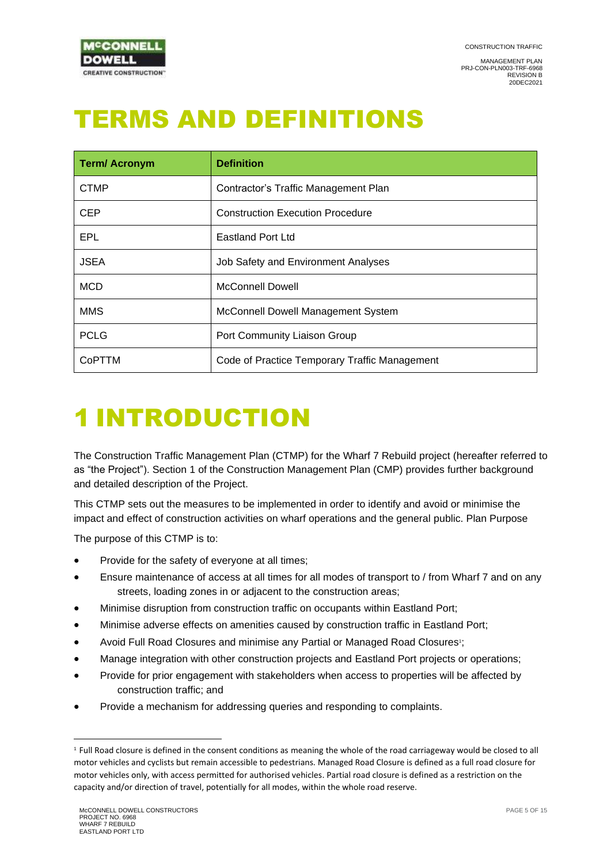

# <span id="page-4-0"></span>TERMS AND DEFINITIONS

| <b>Term/Acronym</b> | <b>Definition</b>                             |  |
|---------------------|-----------------------------------------------|--|
| <b>CTMP</b>         | Contractor's Traffic Management Plan          |  |
| <b>CEP</b>          | <b>Construction Execution Procedure</b>       |  |
| EPL                 | <b>Eastland Port Ltd</b>                      |  |
| <b>JSEA</b>         | Job Safety and Environment Analyses           |  |
| <b>MCD</b>          | <b>McConnell Dowell</b>                       |  |
| <b>MMS</b>          | McConnell Dowell Management System            |  |
| <b>PCLG</b>         | Port Community Liaison Group                  |  |
| CoPTTM              | Code of Practice Temporary Traffic Management |  |

# <span id="page-4-1"></span>1 INTRODUCTION

The Construction Traffic Management Plan (CTMP) for the Wharf 7 Rebuild project (hereafter referred to as "the Project"). Section 1 of the Construction Management Plan (CMP) provides further background and detailed description of the Project.

This CTMP sets out the measures to be implemented in order to identify and avoid or minimise the impact and effect of construction activities on wharf operations and the general public. Plan Purpose

The purpose of this CTMP is to:

- Provide for the safety of everyone at all times;
- Ensure maintenance of access at all times for all modes of transport to / from Wharf 7 and on any streets, loading zones in or adjacent to the construction areas;
- Minimise disruption from construction traffic on occupants within Eastland Port;
- Minimise adverse effects on amenities caused by construction traffic in Eastland Port;
- Avoid Full Road Closures and minimise any Partial or Managed Road Closures<sup>1</sup>;
- Manage integration with other construction projects and Eastland Port projects or operations;
- Provide for prior engagement with stakeholders when access to properties will be affected by construction traffic; and
- Provide a mechanism for addressing queries and responding to complaints.

<sup>1</sup> Full Road closure is defined in the consent conditions as meaning the whole of the road carriageway would be closed to all motor vehicles and cyclists but remain accessible to pedestrians. Managed Road Closure is defined as a full road closure for motor vehicles only, with access permitted for authorised vehicles. Partial road closure is defined as a restriction on the capacity and/or direction of travel, potentially for all modes, within the whole road reserve.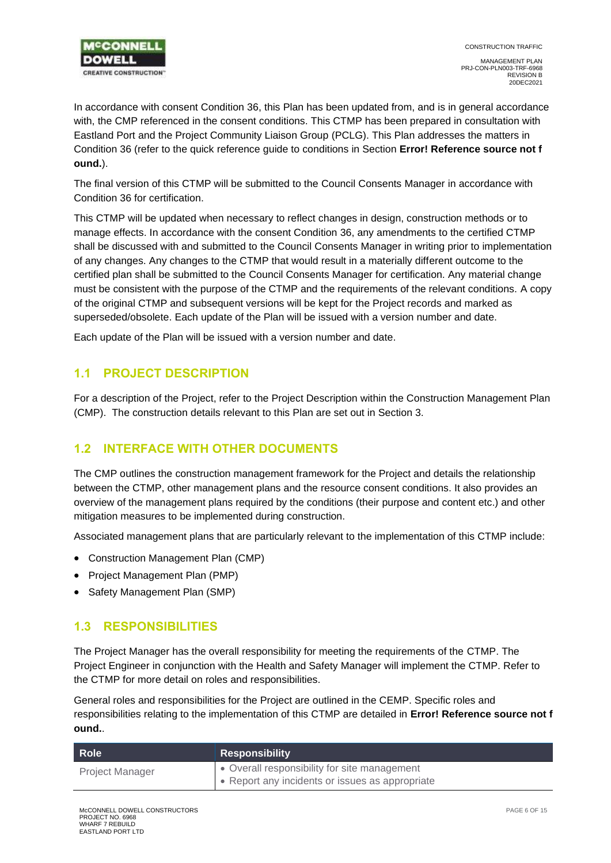

In accordance with consent Condition 36, this Plan has been updated from, and is in general accordance with, the CMP referenced in the consent conditions. This CTMP has been prepared in consultation with Eastland Port and the Project Community Liaison Group (PCLG). This Plan addresses the matters in Condition 36 (refer to the quick reference guide to conditions in Section **Error! Reference source not f ound.**).

The final version of this CTMP will be submitted to the Council Consents Manager in accordance with Condition 36 for certification.

This CTMP will be updated when necessary to reflect changes in design, construction methods or to manage effects. In accordance with the consent Condition 36, any amendments to the certified CTMP shall be discussed with and submitted to the Council Consents Manager in writing prior to implementation of any changes. Any changes to the CTMP that would result in a materially different outcome to the certified plan shall be submitted to the Council Consents Manager for certification. Any material change must be consistent with the purpose of the CTMP and the requirements of the relevant conditions. A copy of the original CTMP and subsequent versions will be kept for the Project records and marked as superseded/obsolete. Each update of the Plan will be issued with a version number and date.

Each update of the Plan will be issued with a version number and date.

### <span id="page-5-0"></span>**1.1 PROJECT DESCRIPTION**

For a description of the Project, refer to the Project Description within the Construction Management Plan (CMP). The construction details relevant to this Plan are set out in Section 3.

### <span id="page-5-1"></span>**1.2 INTERFACE WITH OTHER DOCUMENTS**

The CMP outlines the construction management framework for the Project and details the relationship between the CTMP, other management plans and the resource consent conditions. It also provides an overview of the management plans required by the conditions (their purpose and content etc.) and other mitigation measures to be implemented during construction.

Associated management plans that are particularly relevant to the implementation of this CTMP include:

- Construction Management Plan (CMP)
- Project Management Plan (PMP)
- <span id="page-5-2"></span>• Safety Management Plan (SMP)

### **1.3 RESPONSIBILITIES**

The Project Manager has the overall responsibility for meeting the requirements of the CTMP. The Project Engineer in conjunction with the Health and Safety Manager will implement the CTMP. Refer to the CTMP for more detail on roles and responsibilities.

General roles and responsibilities for the Project are outlined in the CEMP. Specific roles and responsibilities relating to the implementation of this CTMP are detailed in **Error! Reference source not f ound.**.

| Role                   | <b>Responsibility</b>                           |
|------------------------|-------------------------------------------------|
| <b>Project Manager</b> | • Overall responsibility for site management    |
|                        | • Report any incidents or issues as appropriate |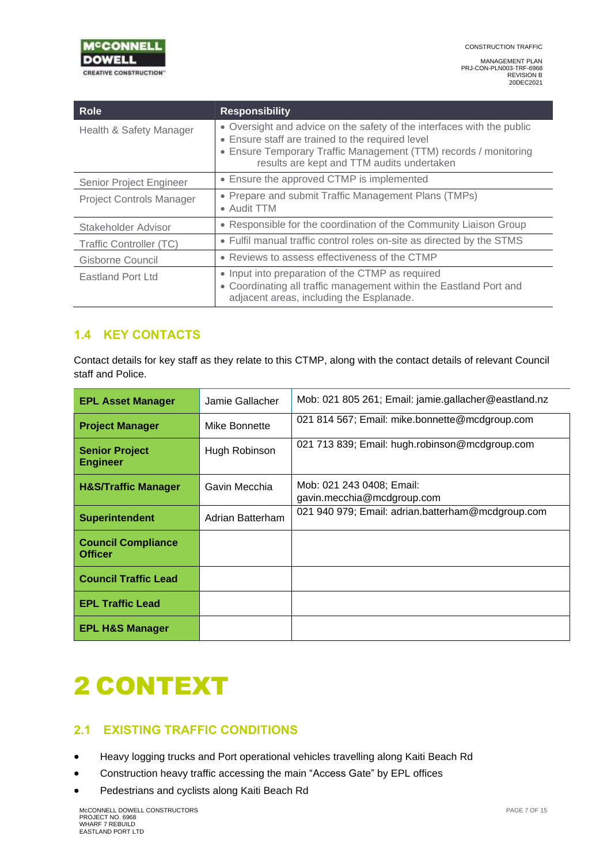

| <b>Role</b>                     | <b>Responsibility</b>                                                                                                                                                                                                                        |
|---------------------------------|----------------------------------------------------------------------------------------------------------------------------------------------------------------------------------------------------------------------------------------------|
| Health & Safety Manager         | • Oversight and advice on the safety of the interfaces with the public<br>• Ensure staff are trained to the required level<br>• Ensure Temporary Traffic Management (TTM) records / monitoring<br>results are kept and TTM audits undertaken |
| Senior Project Engineer         | • Ensure the approved CTMP is implemented                                                                                                                                                                                                    |
| <b>Project Controls Manager</b> | • Prepare and submit Traffic Management Plans (TMPs)<br>• Audit TTM                                                                                                                                                                          |
| Stakeholder Advisor             | • Responsible for the coordination of the Community Liaison Group                                                                                                                                                                            |
| Traffic Controller (TC)         | • Fulfil manual traffic control roles on-site as directed by the STMS                                                                                                                                                                        |
| Gisborne Council                | • Reviews to assess effectiveness of the CTMP                                                                                                                                                                                                |
| Eastland Port Ltd               | • Input into preparation of the CTMP as required<br>• Coordinating all traffic management within the Eastland Port and<br>adjacent areas, including the Esplanade.                                                                           |

## <span id="page-6-0"></span>**1.4 KEY CONTACTS**

Contact details for key staff as they relate to this CTMP, along with the contact details of relevant Council staff and Police.

| <b>EPL Asset Manager</b>                    | Jamie Gallacher  | Mob: 021 805 261; Email: jamie.gallacher@eastland.nz    |
|---------------------------------------------|------------------|---------------------------------------------------------|
| <b>Project Manager</b>                      | Mike Bonnette    | 021 814 567; Email: mike.bonnette@mcdgroup.com          |
| <b>Senior Project</b><br><b>Engineer</b>    | Hugh Robinson    | 021 713 839; Email: hugh.robinson@mcdgroup.com          |
| <b>H&amp;S/Traffic Manager</b>              | Gavin Mecchia    | Mob: 021 243 0408; Email:<br>gavin.mecchia@mcdgroup.com |
| <b>Superintendent</b>                       | Adrian Batterham | 021 940 979; Email: adrian.batterham@mcdgroup.com       |
| <b>Council Compliance</b><br><b>Officer</b> |                  |                                                         |
| <b>Council Traffic Lead</b>                 |                  |                                                         |
| <b>EPL Traffic Lead</b>                     |                  |                                                         |
| <b>EPL H&amp;S Manager</b>                  |                  |                                                         |

# <span id="page-6-1"></span>2 CONTEXT

## <span id="page-6-2"></span>**2.1 EXISTING TRAFFIC CONDITIONS**

- Heavy logging trucks and Port operational vehicles travelling along Kaiti Beach Rd
- Construction heavy traffic accessing the main "Access Gate" by EPL offices
- Pedestrians and cyclists along Kaiti Beach Rd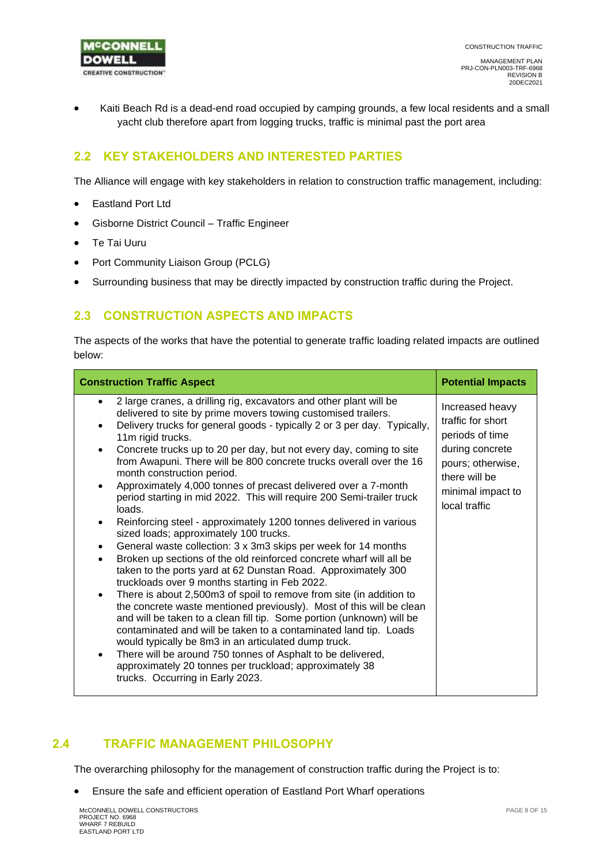

• Kaiti Beach Rd is a dead-end road occupied by camping grounds, a few local residents and a small yacht club therefore apart from logging trucks, traffic is minimal past the port area

### <span id="page-7-0"></span>**2.2 KEY STAKEHOLDERS AND INTERESTED PARTIES**

The Alliance will engage with key stakeholders in relation to construction traffic management, including:

- Eastland Port Ltd
- Gisborne District Council Traffic Engineer
- Te Tai Uuru
- Port Community Liaison Group (PCLG)
- Surrounding business that may be directly impacted by construction traffic during the Project.

### <span id="page-7-1"></span>**2.3 CONSTRUCTION ASPECTS AND IMPACTS**

The aspects of the works that have the potential to generate traffic loading related impacts are outlined below:

| <b>Construction Traffic Aspect</b>                                                                                                                                                                                                                                                                                                                                                                                                                                                                                                                                                                                                                                                                                                                                                                                                                                                                                                                                                                                                                                                                                                                                                                                                                                                                                                                                                                                                                                                                                           | <b>Potential Impacts</b>                                                                                                                               |
|------------------------------------------------------------------------------------------------------------------------------------------------------------------------------------------------------------------------------------------------------------------------------------------------------------------------------------------------------------------------------------------------------------------------------------------------------------------------------------------------------------------------------------------------------------------------------------------------------------------------------------------------------------------------------------------------------------------------------------------------------------------------------------------------------------------------------------------------------------------------------------------------------------------------------------------------------------------------------------------------------------------------------------------------------------------------------------------------------------------------------------------------------------------------------------------------------------------------------------------------------------------------------------------------------------------------------------------------------------------------------------------------------------------------------------------------------------------------------------------------------------------------------|--------------------------------------------------------------------------------------------------------------------------------------------------------|
| 2 large cranes, a drilling rig, excavators and other plant will be<br>$\bullet$<br>delivered to site by prime movers towing customised trailers.<br>Delivery trucks for general goods - typically 2 or 3 per day. Typically,<br>11m rigid trucks.<br>Concrete trucks up to 20 per day, but not every day, coming to site<br>from Awapuni. There will be 800 concrete trucks overall over the 16<br>month construction period.<br>Approximately 4,000 tonnes of precast delivered over a 7-month<br>$\bullet$<br>period starting in mid 2022. This will require 200 Semi-trailer truck<br>loads.<br>Reinforcing steel - approximately 1200 tonnes delivered in various<br>٠<br>sized loads; approximately 100 trucks.<br>General waste collection: 3 x 3m3 skips per week for 14 months<br>$\bullet$<br>Broken up sections of the old reinforced concrete wharf will all be<br>taken to the ports yard at 62 Dunstan Road. Approximately 300<br>truckloads over 9 months starting in Feb 2022.<br>There is about 2,500m3 of spoil to remove from site (in addition to<br>$\bullet$<br>the concrete waste mentioned previously). Most of this will be clean<br>and will be taken to a clean fill tip. Some portion (unknown) will be<br>contaminated and will be taken to a contaminated land tip. Loads<br>would typically be 8m3 in an articulated dump truck.<br>There will be around 750 tonnes of Asphalt to be delivered,<br>approximately 20 tonnes per truckload; approximately 38<br>trucks. Occurring in Early 2023. | Increased heavy<br>traffic for short<br>periods of time<br>during concrete<br>pours; otherwise,<br>there will be<br>minimal impact to<br>local traffic |

### <span id="page-7-2"></span>**2.4 TRAFFIC MANAGEMENT PHILOSOPHY**

The overarching philosophy for the management of construction traffic during the Project is to:

• Ensure the safe and efficient operation of Eastland Port Wharf operations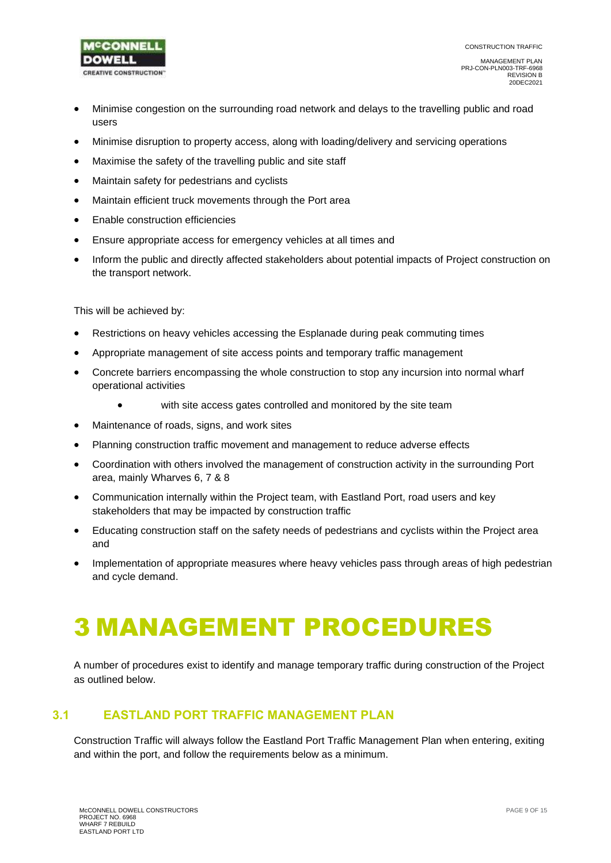

- Minimise congestion on the surrounding road network and delays to the travelling public and road users
- Minimise disruption to property access, along with loading/delivery and servicing operations
- Maximise the safety of the travelling public and site staff
- Maintain safety for pedestrians and cyclists
- Maintain efficient truck movements through the Port area
- Enable construction efficiencies
- Ensure appropriate access for emergency vehicles at all times and
- Inform the public and directly affected stakeholders about potential impacts of Project construction on the transport network.

This will be achieved by:

- Restrictions on heavy vehicles accessing the Esplanade during peak commuting times
- Appropriate management of site access points and temporary traffic management
- Concrete barriers encompassing the whole construction to stop any incursion into normal wharf operational activities
	- with site access gates controlled and monitored by the site team
- Maintenance of roads, signs, and work sites
- Planning construction traffic movement and management to reduce adverse effects
- Coordination with others involved the management of construction activity in the surrounding Port area, mainly Wharves 6, 7 & 8
- Communication internally within the Project team, with Eastland Port, road users and key stakeholders that may be impacted by construction traffic
- Educating construction staff on the safety needs of pedestrians and cyclists within the Project area and
- Implementation of appropriate measures where heavy vehicles pass through areas of high pedestrian and cycle demand.

# <span id="page-8-0"></span>3 MANAGEMENT PROCEDURES

A number of procedures exist to identify and manage temporary traffic during construction of the Project as outlined below.

### <span id="page-8-1"></span>**3.1 EASTLAND PORT TRAFFIC MANAGEMENT PLAN**

Construction Traffic will always follow the Eastland Port Traffic Management Plan when entering, exiting and within the port, and follow the requirements below as a minimum.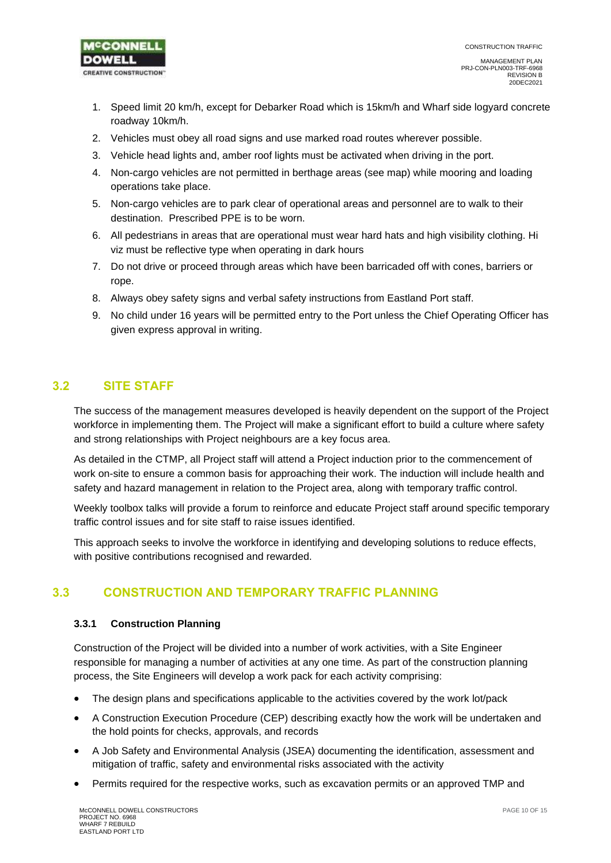

- 1. Speed limit 20 km/h, except for Debarker Road which is 15km/h and Wharf side logyard concrete roadway 10km/h.
- 2. Vehicles must obey all road signs and use marked road routes wherever possible.
- 3. Vehicle head lights and, amber roof lights must be activated when driving in the port.
- 4. Non-cargo vehicles are not permitted in berthage areas (see map) while mooring and loading operations take place.
- 5. Non-cargo vehicles are to park clear of operational areas and personnel are to walk to their destination. Prescribed PPE is to be worn.
- 6. All pedestrians in areas that are operational must wear hard hats and high visibility clothing. Hi viz must be reflective type when operating in dark hours
- 7. Do not drive or proceed through areas which have been barricaded off with cones, barriers or rope.
- 8. Always obey safety signs and verbal safety instructions from Eastland Port staff.
- 9. No child under 16 years will be permitted entry to the Port unless the Chief Operating Officer has given express approval in writing.

### <span id="page-9-0"></span>**3.2 SITE STAFF**

The success of the management measures developed is heavily dependent on the support of the Project workforce in implementing them. The Project will make a significant effort to build a culture where safety and strong relationships with Project neighbours are a key focus area.

As detailed in the CTMP, all Project staff will attend a Project induction prior to the commencement of work on-site to ensure a common basis for approaching their work. The induction will include health and safety and hazard management in relation to the Project area, along with temporary traffic control.

Weekly toolbox talks will provide a forum to reinforce and educate Project staff around specific temporary traffic control issues and for site staff to raise issues identified.

This approach seeks to involve the workforce in identifying and developing solutions to reduce effects, with positive contributions recognised and rewarded.

### <span id="page-9-1"></span>**3.3 CONSTRUCTION AND TEMPORARY TRAFFIC PLANNING**

#### <span id="page-9-2"></span>**3.3.1 Construction Planning**

Construction of the Project will be divided into a number of work activities, with a Site Engineer responsible for managing a number of activities at any one time. As part of the construction planning process, the Site Engineers will develop a work pack for each activity comprising:

- The design plans and specifications applicable to the activities covered by the work lot/pack
- A Construction Execution Procedure (CEP) describing exactly how the work will be undertaken and the hold points for checks, approvals, and records
- A Job Safety and Environmental Analysis (JSEA) documenting the identification, assessment and mitigation of traffic, safety and environmental risks associated with the activity
- Permits required for the respective works, such as excavation permits or an approved TMP and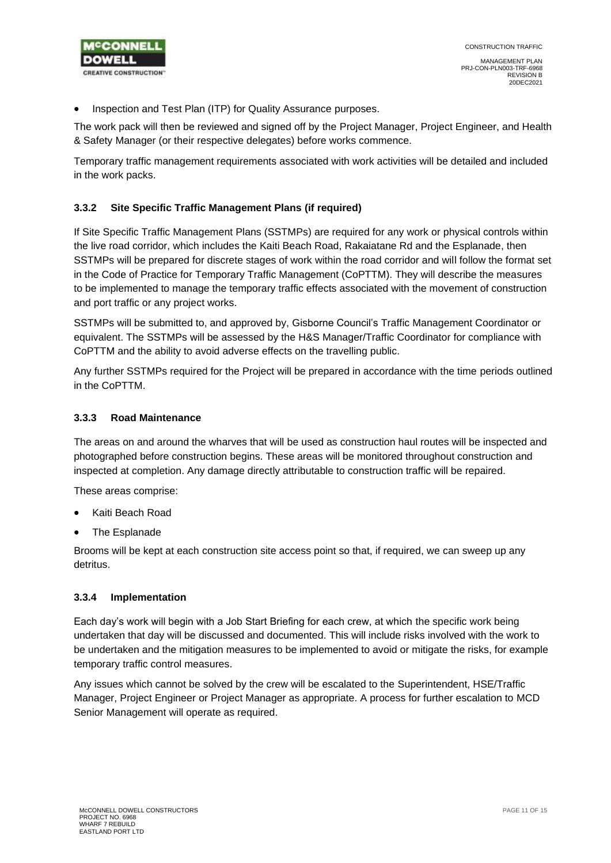

• Inspection and Test Plan (ITP) for Quality Assurance purposes.

The work pack will then be reviewed and signed off by the Project Manager, Project Engineer, and Health & Safety Manager (or their respective delegates) before works commence.

Temporary traffic management requirements associated with work activities will be detailed and included in the work packs.

#### <span id="page-10-0"></span>**3.3.2 Site Specific Traffic Management Plans (if required)**

If Site Specific Traffic Management Plans (SSTMPs) are required for any work or physical controls within the live road corridor, which includes the Kaiti Beach Road, Rakaiatane Rd and the Esplanade, then SSTMPs will be prepared for discrete stages of work within the road corridor and will follow the format set in the Code of Practice for Temporary Traffic Management (CoPTTM). They will describe the measures to be implemented to manage the temporary traffic effects associated with the movement of construction and port traffic or any project works.

SSTMPs will be submitted to, and approved by, Gisborne Council's Traffic Management Coordinator or equivalent. The SSTMPs will be assessed by the H&S Manager/Traffic Coordinator for compliance with CoPTTM and the ability to avoid adverse effects on the travelling public.

Any further SSTMPs required for the Project will be prepared in accordance with the time periods outlined in the CoPTTM.

#### <span id="page-10-1"></span>**3.3.3 Road Maintenance**

The areas on and around the wharves that will be used as construction haul routes will be inspected and photographed before construction begins. These areas will be monitored throughout construction and inspected at completion. Any damage directly attributable to construction traffic will be repaired.

These areas comprise:

- Kaiti Beach Road
- The Esplanade

Brooms will be kept at each construction site access point so that, if required, we can sweep up any detritus.

#### <span id="page-10-2"></span>**3.3.4 Implementation**

Each day's work will begin with a Job Start Briefing for each crew, at which the specific work being undertaken that day will be discussed and documented. This will include risks involved with the work to be undertaken and the mitigation measures to be implemented to avoid or mitigate the risks, for example temporary traffic control measures.

Any issues which cannot be solved by the crew will be escalated to the Superintendent, HSE/Traffic Manager, Project Engineer or Project Manager as appropriate. A process for further escalation to MCD Senior Management will operate as required.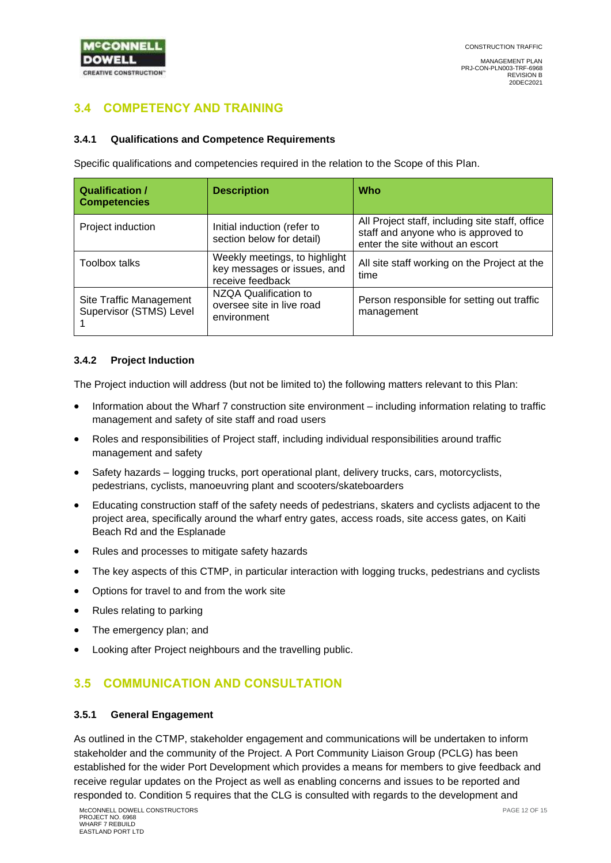

# <span id="page-11-0"></span>**3.4 COMPETENCY AND TRAINING**

#### <span id="page-11-1"></span>**3.4.1 Qualifications and Competence Requirements**

Specific qualifications and competencies required in the relation to the Scope of this Plan.

| <b>Qualification /</b><br><b>Competencies</b>      | <b>Description</b>                                                               | Who                                                                                                                        |
|----------------------------------------------------|----------------------------------------------------------------------------------|----------------------------------------------------------------------------------------------------------------------------|
| Project induction                                  | Initial induction (refer to<br>section below for detail)                         | All Project staff, including site staff, office<br>staff and anyone who is approved to<br>enter the site without an escort |
| <b>Toolbox talks</b>                               | Weekly meetings, to highlight<br>key messages or issues, and<br>receive feedback | All site staff working on the Project at the<br>time                                                                       |
| Site Traffic Management<br>Supervisor (STMS) Level | NZQA Qualification to<br>oversee site in live road<br>environment                | Person responsible for setting out traffic<br>management                                                                   |

#### <span id="page-11-2"></span>**3.4.2 Project Induction**

The Project induction will address (but not be limited to) the following matters relevant to this Plan:

- Information about the Wharf 7 construction site environment including information relating to traffic management and safety of site staff and road users
- Roles and responsibilities of Project staff, including individual responsibilities around traffic management and safety
- Safety hazards logging trucks, port operational plant, delivery trucks, cars, motorcyclists, pedestrians, cyclists, manoeuvring plant and scooters/skateboarders
- Educating construction staff of the safety needs of pedestrians, skaters and cyclists adjacent to the project area, specifically around the wharf entry gates, access roads, site access gates, on Kaiti Beach Rd and the Esplanade
- Rules and processes to mitigate safety hazards
- The key aspects of this CTMP, in particular interaction with logging trucks, pedestrians and cyclists
- Options for travel to and from the work site
- Rules relating to parking
- The emergency plan; and
- Looking after Project neighbours and the travelling public.

### <span id="page-11-3"></span>**3.5 COMMUNICATION AND CONSULTATION**

#### <span id="page-11-4"></span>**3.5.1 General Engagement**

As outlined in the CTMP, stakeholder engagement and communications will be undertaken to inform stakeholder and the community of the Project. A Port Community Liaison Group (PCLG) has been established for the wider Port Development which provides a means for members to give feedback and receive regular updates on the Project as well as enabling concerns and issues to be reported and responded to. Condition 5 requires that the CLG is consulted with regards to the development and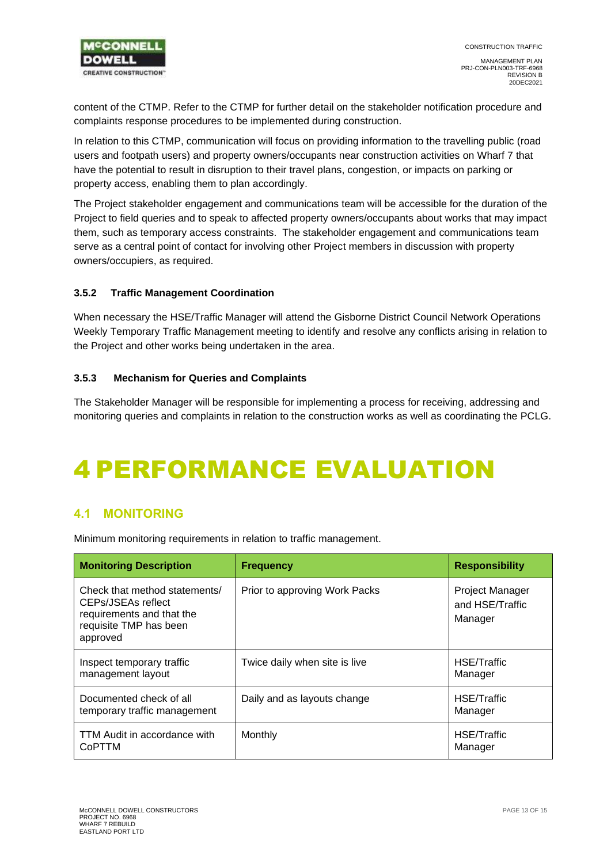

content of the CTMP. Refer to the CTMP for further detail on the stakeholder notification procedure and complaints response procedures to be implemented during construction.

In relation to this CTMP, communication will focus on providing information to the travelling public (road users and footpath users) and property owners/occupants near construction activities on Wharf 7 that have the potential to result in disruption to their travel plans, congestion, or impacts on parking or property access, enabling them to plan accordingly.

The Project stakeholder engagement and communications team will be accessible for the duration of the Project to field queries and to speak to affected property owners/occupants about works that may impact them, such as temporary access constraints. The stakeholder engagement and communications team serve as a central point of contact for involving other Project members in discussion with property owners/occupiers, as required.

#### <span id="page-12-0"></span>**3.5.2 Traffic Management Coordination**

When necessary the HSE/Traffic Manager will attend the Gisborne District Council Network Operations Weekly Temporary Traffic Management meeting to identify and resolve any conflicts arising in relation to the Project and other works being undertaken in the area.

#### <span id="page-12-1"></span>**3.5.3 Mechanism for Queries and Complaints**

The Stakeholder Manager will be responsible for implementing a process for receiving, addressing and monitoring queries and complaints in relation to the construction works as well as coordinating the PCLG.

# <span id="page-12-2"></span>4 PERFORMANCE EVALUATION

### <span id="page-12-3"></span>**4.1 MONITORING**

Minimum monitoring requirements in relation to traffic management.

| <b>Monitoring Description</b>                                                                                          | <b>Frequency</b>              | <b>Responsibility</b>                         |
|------------------------------------------------------------------------------------------------------------------------|-------------------------------|-----------------------------------------------|
| Check that method statements/<br>CEPs/JSEAs reflect<br>requirements and that the<br>requisite TMP has been<br>approved | Prior to approving Work Packs | Project Manager<br>and HSE/Traffic<br>Manager |
| Inspect temporary traffic<br>management layout                                                                         | Twice daily when site is live | HSE/Traffic<br>Manager                        |
| Documented check of all<br>temporary traffic management                                                                | Daily and as layouts change   | HSE/Traffic<br>Manager                        |
| TTM Audit in accordance with<br>CoPTTM                                                                                 | Monthly                       | HSE/Traffic<br>Manager                        |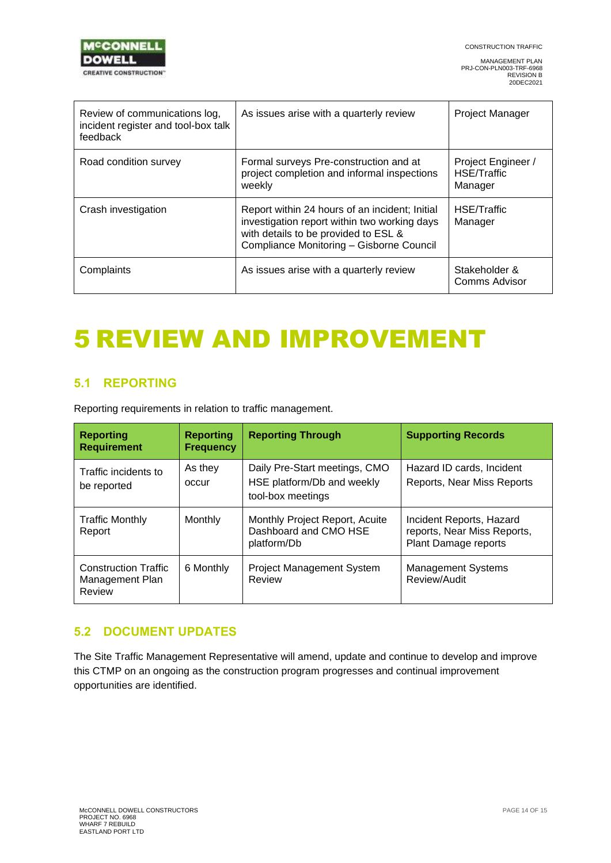

| Review of communications log,<br>incident register and tool-box talk<br>feedback | As issues arise with a quarterly review                                                                                                                                            | <b>Project Manager</b>                       |
|----------------------------------------------------------------------------------|------------------------------------------------------------------------------------------------------------------------------------------------------------------------------------|----------------------------------------------|
| Road condition survey                                                            | Formal surveys Pre-construction and at<br>project completion and informal inspections<br>weekly                                                                                    | Project Engineer /<br>HSE/Traffic<br>Manager |
| Crash investigation                                                              | Report within 24 hours of an incident; Initial<br>investigation report within two working days<br>with details to be provided to ESL &<br>Compliance Monitoring - Gisborne Council | HSE/Traffic<br>Manager                       |
| Complaints                                                                       | As issues arise with a quarterly review                                                                                                                                            | Stakeholder &<br>Comms Advisor               |

# <span id="page-13-0"></span>5 REVIEW AND IMPROVEMENT

### <span id="page-13-1"></span>**5.1 REPORTING**

Reporting requirements in relation to traffic management.

| <b>Reporting</b><br><b>Requirement</b>                   | <b>Reporting</b><br><b>Frequency</b> | <b>Reporting Through</b>                                                         | <b>Supporting Records</b>                                                       |
|----------------------------------------------------------|--------------------------------------|----------------------------------------------------------------------------------|---------------------------------------------------------------------------------|
| Traffic incidents to<br>be reported                      | As they<br>occur                     | Daily Pre-Start meetings, CMO<br>HSE platform/Db and weekly<br>tool-box meetings | Hazard ID cards, Incident<br>Reports, Near Miss Reports                         |
| <b>Traffic Monthly</b><br>Report                         | Monthly                              | Monthly Project Report, Acuite<br>Dashboard and CMO HSE<br>platform/Db           | Incident Reports, Hazard<br>reports, Near Miss Reports,<br>Plant Damage reports |
| <b>Construction Traffic</b><br>Management Plan<br>Review | 6 Monthly                            | <b>Project Management System</b><br>Review                                       | <b>Management Systems</b><br>Review/Audit                                       |

### <span id="page-13-2"></span>**5.2 DOCUMENT UPDATES**

The Site Traffic Management Representative will amend, update and continue to develop and improve this CTMP on an ongoing as the construction program progresses and continual improvement opportunities are identified.